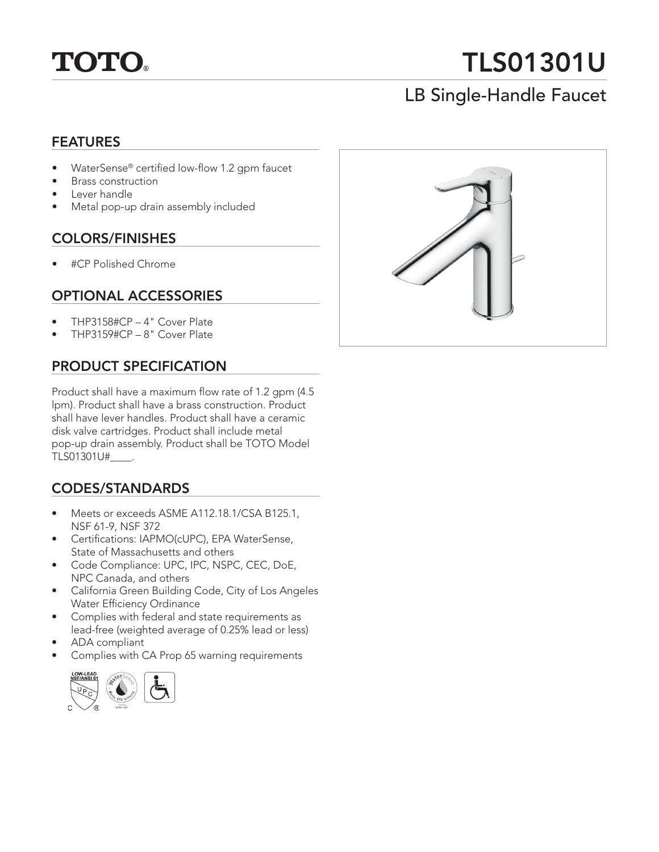

# TLS01301U

## LB Single-Handle Faucet

#### FEATURES

- WaterSense® certified low-flow 1.2 gpm faucet
- Brass construction
- Lever handle
- Metal pop-up drain assembly included

#### COLORS/FINISHES

• #CP Polished Chrome

#### OPTIONAL ACCESSORIES

- THP3158#CP 4" Cover Plate
- THP3159#CP 8" Cover Plate

#### PRODUCT SPECIFICATION

Product shall have a maximum flow rate of 1.2 gpm (4.5 lpm). Product shall have a brass construction. Product shall have lever handles. Product shall have a ceramic disk valve cartridges. Product shall include metal pop-up drain assembly. Product shall be TOTO Model TLS01301U#\_\_\_\_.

#### CODES/STANDARDS

- Meets or exceeds ASME A112.18.1/CSA B125.1, NSF 61-9, NSF 372
- Certifications: IAPMO(cUPC), EPA WaterSense, State of Massachusetts and others
- Code Compliance: UPC, IPC, NSPC, CEC, DoE, NPC Canada, and others
- California Green Building Code, City of Los Angeles Water Efficiency Ordinance
- Complies with federal and state requirements as lead-free (weighted average of 0.25% lead or less)
- ADA compliant
- Complies with CA Prop 65 warning requirements